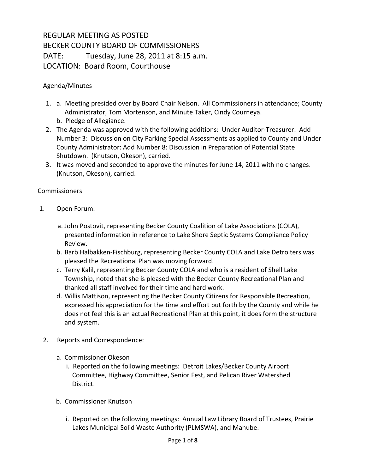## REGULAR MEETING AS POSTED BECKER COUNTY BOARD OF COMMISSIONERS DATE: Tuesday, June 28, 2011 at 8:15 a.m. LOCATION: Board Room, Courthouse

## Agenda/Minutes

- 1. a. Meeting presided over by Board Chair Nelson. All Commissioners in attendance; County Administrator, Tom Mortenson, and Minute Taker, Cindy Courneya. b. Pledge of Allegiance.
- 2. The Agenda was approved with the following additions: Under Auditor-Treasurer: Add Number 3: Discussion on City Parking Special Assessments as applied to County and Under County Administrator: Add Number 8: Discussion in Preparation of Potential State Shutdown. (Knutson, Okeson), carried.
- 3. It was moved and seconded to approve the minutes for June 14, 2011 with no changes. (Knutson, Okeson), carried.

## **Commissioners**

- 1. Open Forum:
	- a. John Postovit, representing Becker County Coalition of Lake Associations (COLA), presented information in reference to Lake Shore Septic Systems Compliance Policy Review.
	- b. Barb Halbakken-Fischburg, representing Becker County COLA and Lake Detroiters was pleased the Recreational Plan was moving forward.
	- c. Terry Kalil, representing Becker County COLA and who is a resident of Shell Lake Township, noted that she is pleased with the Becker County Recreational Plan and thanked all staff involved for their time and hard work.
	- d. Willis Mattison, representing the Becker County Citizens for Responsible Recreation, expressed his appreciation for the time and effort put forth by the County and while he does not feel this is an actual Recreational Plan at this point, it does form the structure and system.
- 2. Reports and Correspondence:
	- a. Commissioner Okeson
		- i. Reported on the following meetings: Detroit Lakes/Becker County Airport Committee, Highway Committee, Senior Fest, and Pelican River Watershed District.
	- b. Commissioner Knutson
		- i. Reported on the following meetings: Annual Law Library Board of Trustees, Prairie Lakes Municipal Solid Waste Authority (PLMSWA), and Mahube.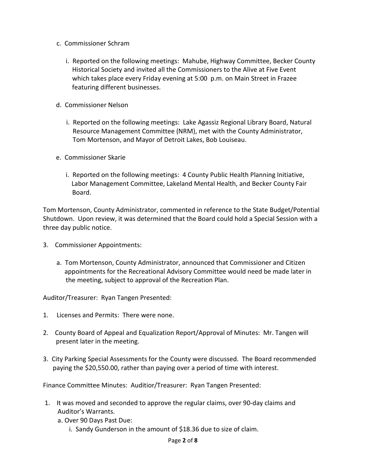- c. Commissioner Schram
	- i. Reported on the following meetings: Mahube, Highway Committee, Becker County Historical Society and invited all the Commissioners to the Alive at Five Event which takes place every Friday evening at 5:00 p.m. on Main Street in Frazee featuring different businesses.
- d. Commissioner Nelson
	- i. Reported on the following meetings: Lake Agassiz Regional Library Board, Natural Resource Management Committee (NRM), met with the County Administrator, Tom Mortenson, and Mayor of Detroit Lakes, Bob Louiseau.
- e. Commissioner Skarie
	- i. Reported on the following meetings: 4 County Public Health Planning Initiative, Labor Management Committee, Lakeland Mental Health, and Becker County Fair Board.

Tom Mortenson, County Administrator, commented in reference to the State Budget/Potential Shutdown. Upon review, it was determined that the Board could hold a Special Session with a three day public notice.

- 3. Commissioner Appointments:
	- a. Tom Mortenson, County Administrator, announced that Commissioner and Citizen appointments for the Recreational Advisory Committee would need be made later in the meeting, subject to approval of the Recreation Plan.

Auditor/Treasurer: Ryan Tangen Presented:

- 1. Licenses and Permits: There were none.
- 2. County Board of Appeal and Equalization Report/Approval of Minutes: Mr. Tangen will present later in the meeting.
- 3. City Parking Special Assessments for the County were discussed. The Board recommended paying the \$20,550.00, rather than paying over a period of time with interest.

Finance Committee Minutes: Auditior/Treasurer: Ryan Tangen Presented:

- 1. It was moved and seconded to approve the regular claims, over 90-day claims and Auditor's Warrants.
	- a. Over 90 Days Past Due:
		- i. Sandy Gunderson in the amount of \$18.36 due to size of claim.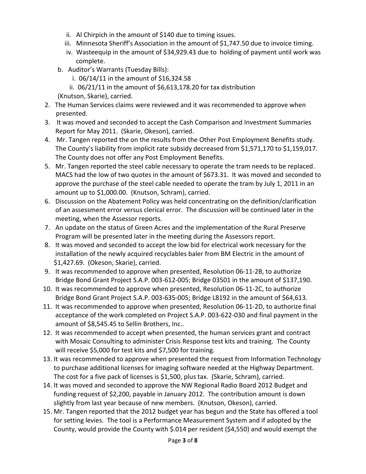- ii. Al Chirpich in the amount of \$140 due to timing issues.
- iii. Minnesota Sheriff's Association in the amount of \$1,747.50 due to invoice timing.
- iv. Wasteequip in the amount of \$34,929.43 due to holding of payment until work was complete.
- b. Auditor's Warrants (Tuesday Bills):
	- i. 06/14/11 in the amount of \$16,324.58
	- ii. 06/21/11 in the amount of \$6,613,178.20 for tax distribution
- (Knutson, Skarie), carried.
- 2. The Human Services claims were reviewed and it was recommended to approve when presented.
- 3. It was moved and seconded to accept the Cash Comparison and Investment Summaries Report for May 2011. (Skarie, Okeson), carried.
- 4. Mr. Tangen reported the on the results from the Other Post Employment Benefits study. The County's liability from implicit rate subsidy decreased from \$1,571,170 to \$1,159,017. The County does not offer any Post Employment Benefits.
- 5. Mr. Tangen reported the steel cable necessary to operate the tram needs to be replaced. MACS had the low of two quotes in the amount of \$673.31. It was moved and seconded to approve the purchase of the steel cable needed to operate the tram by July 1, 2011 in an amount up to \$1,000.00. (Knutson, Schram), carried.
- 6. Discussion on the Abatement Policy was held concentrating on the definition/clarification of an assessment error versus clerical error. The discussion will be continued later in the meeting, when the Assessor reports.
- 7. An update on the status of Green Acres and the implementation of the Rural Preserve Program will be presented later in the meeting during the Assessors report.
- 8. It was moved and seconded to accept the low bid for electrical work necessary for the installation of the newly acquired recyclables baler from BM Electric in the amount of \$1,427.69. (Okeson, Skarie), carried.
- 9. It was recommended to approve when presented, Resolution 06-11-2B, to authorize Bridge Bond Grant Project S.A.P. 003-612-005; Bridge 03501 in the amount of \$137,190.
- 10. It was recommended to approve when presented, Resolution 06-11-2C, to authorize Bridge Bond Grant Project S.A.P. 003-635-005; Bridge L8192 in the amount of \$64,613.
- 11. It was recommended to approve when presented, Resolution 06-11-2D, to authorize final acceptance of the work completed on Project S.A.P. 003-622-030 and final payment in the amount of \$8,545.45 to Sellin Brothers, Inc..
- 12. It was recommended to accept when presented, the human services grant and contract with Mosaic Consulting to administer Crisis Response test kits and training. The County will receive \$5,000 for test kits and \$7,500 for training.
- 13. It was recommended to approve when presented the request from Information Technology to purchase additional licenses for imaging software needed at the Highway Department. The cost for a five pack of licenses is \$1,500, plus tax. (Skarie, Schram), carried.
- 14. It was moved and seconded to approve the NW Regional Radio Board 2012 Budget and funding request of \$2,200, payable in January 2012. The contribution amount is down slightly from last year because of new members. (Knutson, Okeson), carried.
- 15. Mr. Tangen reported that the 2012 budget year has begun and the State has offered a tool for setting levies. The tool is a Performance Measurement System and if adopted by the County, would provide the County with \$.014 per resident (\$4,550) and would exempt the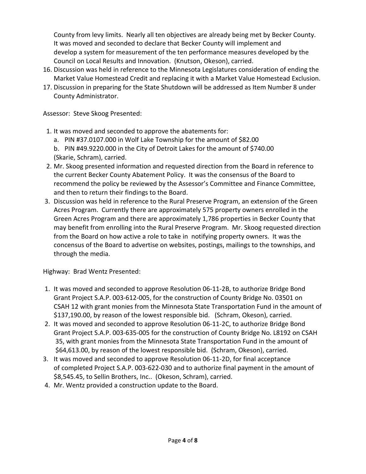County from levy limits. Nearly all ten objectives are already being met by Becker County. It was moved and seconded to declare that Becker County will implement and develop a system for measurement of the ten performance measures developed by the Council on Local Results and Innovation. (Knutson, Okeson), carried.

- 16. Discussion was held in reference to the Minnesota Legislatures consideration of ending the Market Value Homestead Credit and replacing it with a Market Value Homestead Exclusion.
- 17. Discussion in preparing for the State Shutdown will be addressed as Item Number 8 under County Administrator.

Assessor: Steve Skoog Presented:

- 1. It was moved and seconded to approve the abatements for:
	- a. PIN #37.0107.000 in Wolf Lake Township for the amount of \$82.00
	- b. PIN #49.9220.000 in the City of Detroit Lakes for the amount of \$740.00 (Skarie, Schram), carried.
- 2. Mr. Skoog presented information and requested direction from the Board in reference to the current Becker County Abatement Policy. It was the consensus of the Board to recommend the policy be reviewed by the Assessor's Committee and Finance Committee, and then to return their findings to the Board.
- 3. Discussion was held in reference to the Rural Preserve Program, an extension of the Green Acres Program. Currently there are approximately 575 property owners enrolled in the Green Acres Program and there are approximately 1,786 properties in Becker County that may benefit from enrolling into the Rural Preserve Program. Mr. Skoog requested direction from the Board on how active a role to take in notifying property owners. It was the concensus of the Board to advertise on websites, postings, mailings to the townships, and through the media.

Highway: Brad Wentz Presented:

- 1. It was moved and seconded to approve Resolution 06-11-2B, to authorize Bridge Bond Grant Project S.A.P. 003-612-005, for the construction of County Bridge No. 03501 on CSAH 12 with grant monies from the Minnesota State Transportation Fund in the amount of \$137,190.00, by reason of the lowest responsible bid. (Schram, Okeson), carried.
- 2. It was moved and seconded to approve Resolution 06-11-2C, to authorize Bridge Bond Grant Project S.A.P. 003-635-005 for the construction of County Bridge No. L8192 on CSAH 35, with grant monies from the Minnesota State Transportation Fund in the amount of \$64,613.00, by reason of the lowest responsible bid. (Schram, Okeson), carried.
- 3. It was moved and seconded to approve Resolution 06-11-2D, for final acceptance of completed Project S.A.P. 003-622-030 and to authorize final payment in the amount of \$8,545.45, to Sellin Brothers, Inc.. (Okeson, Schram), carried.
- 4. Mr. Wentz provided a construction update to the Board.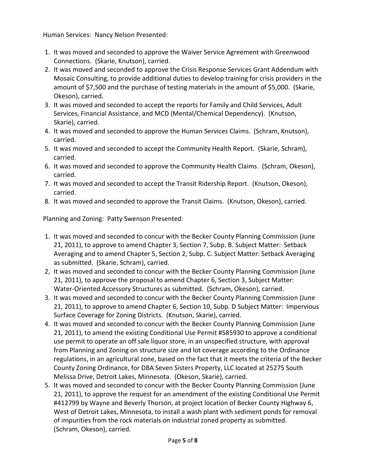Human Services: Nancy Nelson Presented:

- 1. It was moved and seconded to approve the Waiver Service Agreement with Greenwood Connections. (Skarie, Knutson), carried.
- 2. It was moved and seconded to approve the Crisis Response Services Grant Addendum with Mosaic Consulting, to provide additional duties to develop training for crisis providers in the amount of \$7,500 and the purchase of testing materials in the amount of \$5,000. (Skarie, Okeson), carried.
- 3. It was moved and seconded to accept the reports for Family and Child Services, Adult Services, Financial Assistance, and MCD (Mental/Chemical Dependency). (Knutson, Skarie), carried.
- 4. It was moved and seconded to approve the Human Services Claims. (Schram, Knutson), carried.
- 5. It was moved and seconded to accept the Community Health Report. (Skarie, Schram), carried.
- 6. It was moved and seconded to approve the Community Health Claims. (Schram, Okeson), carried.
- 7. It was moved and seconded to accept the Transit Ridership Report. (Knutson, Okeson), carried.
- 8. It was moved and seconded to approve the Transit Claims. (Knutson, Okeson), carried.

Planning and Zoning: Patty Swenson Presented:

- 1. It was moved and seconded to concur with the Becker County Planning Commission (June 21, 2011), to approve to amend Chapter 3, Section 7, Subp. B. Subject Matter: Setback Averaging and to amend Chapter 5, Section 2, Subp. C. Subject Matter: Setback Averaging as submitted. (Skarie, Schram), carried.
- 2, It was moved and seconded to concur with the Becker County Planning Commission (June 21, 2011), to approve the proposal to amend Chapter 6, Section 3, Subject Matter: Water-Oriented Accessory Structures as submitted. (Schram, Okeson), carried.
- 3. It was moved and seconded to concur with the Becker County Planning Commission (June 21, 2011), to approve to amend Chapter 6, Section 10, Subp. D Subject Matter: Impervious Surface Coverage for Zoning Districts. (Knutson, Skarie), carried.
- 4. It was moved and seconded to concur with the Becker County Planning Commission (June 21, 2011), to amend the existing Conditional Use Permit #585930 to approve a conditional use permit to operate an off sale liquor store, in an unspecified structure, with approval from Planning and Zoning on structure size and lot coverage according to the Ordinance regulations, in an agricultural zone, based on the fact that it meets the criteria of the Becker County Zoning Ordinance, for DBA Seven Sisters Property, LLC located at 25275 South Melissa Drive, Detroit Lakes, Minnesota. (Okeson, Skarie), carried.
- 5. It was moved and seconded to concur with the Becker County Planning Commission (June 21, 2011), to approve the request for an amendment of the existing Conditional Use Permit #412799 by Wayne and Beverly Thorson, at project location of Becker County Highway 6, West of Detroit Lakes, Minnesota, to install a wash plant with sediment ponds for removal of impurities from the rock materials on industrial zoned property as submitted. (Schram, Okeson), carried.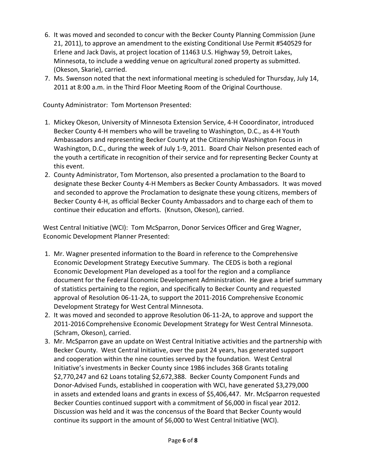- 6. It was moved and seconded to concur with the Becker County Planning Commission (June 21, 2011), to approve an amendment to the existing Conditional Use Permit #540529 for Erlene and Jack Davis, at project location of 11463 U.S. Highway 59, Detroit Lakes, Minnesota, to include a wedding venue on agricultural zoned property as submitted. (Okeson, Skarie), carried.
- 7. Ms. Swenson noted that the next informational meeting is scheduled for Thursday, July 14, 2011 at 8:00 a.m. in the Third Floor Meeting Room of the Original Courthouse.

County Administrator: Tom Mortenson Presented:

- 1. Mickey Okeson, University of Minnesota Extension Service, 4-H Cooordinator, introduced Becker County 4-H members who will be traveling to Washington, D.C., as 4-H Youth Ambassadors and representing Becker County at the Citizenship Washington Focus in Washington, D.C., during the week of July 1-9, 2011. Board Chair Nelson presented each of the youth a certificate in recognition of their service and for representing Becker County at this event.
- 2. County Administrator, Tom Mortenson, also presented a proclamation to the Board to designate these Becker County 4-H Members as Becker County Ambassadors. It was moved and seconded to approve the Proclamation to designate these young citizens, members of Becker County 4-H, as official Becker County Ambassadors and to charge each of them to continue their education and efforts. (Knutson, Okeson), carried.

West Central Initiative (WCI): Tom McSparron, Donor Services Officer and Greg Wagner, Economic Development Planner Presented:

- 1. Mr. Wagner presented information to the Board in reference to the Comprehensive Economic Development Strategy Executive Summary. The CEDS is both a regional Economic Development Plan developed as a tool for the region and a compliance document for the Federal Economic Development Administration. He gave a brief summary of statistics pertaining to the region, and specifically to Becker County and requested approval of Resolution 06-11-2A, to support the 2011-2016 Comprehensive Economic Development Strategy for West Central Minnesota.
- 2. It was moved and seconded to approve Resolution 06-11-2A, to approve and support the 2011-2016Comprehensive Economic Development Strategy for West Central Minnesota. (Schram, Okeson), carried.
- 3. Mr. McSparron gave an update on West Central Initiative activities and the partnership with Becker County. West Central Initiative, over the past 24 years, has generated support and cooperation within the nine counties served by the foundation. West Central Initiative's investments in Becker County since 1986 includes 368 Grants totaling \$2,770,247 and 62 Loans totaling \$2,672,388. Becker County Component Funds and Donor-Advised Funds, established in cooperation with WCI, have generated \$3,279,000 in assets and extended loans and grants in excess of \$5,406,447. Mr. McSparron requested Becker Counties continued support with a commitment of \$6,000 in fiscal year 2012. Discussion was held and it was the concensus of the Board that Becker County would continue its support in the amount of \$6,000 to West Central Initiative (WCI).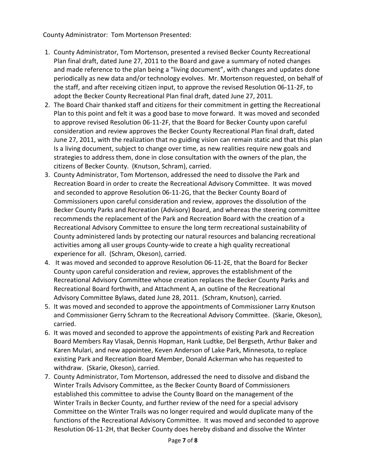County Administrator: Tom Mortenson Presented:

- 1. County Administrator, Tom Mortenson, presented a revised Becker County Recreational Plan final draft, dated June 27, 2011 to the Board and gave a summary of noted changes and made reference to the plan being a "living document", with changes and updates done periodically as new data and/or technology evolves. Mr. Mortenson requested, on behalf of the staff, and after receiving citizen input, to approve the revised Resolution 06-11-2F, to adopt the Becker County Recreational Plan final draft, dated June 27, 2011.
- 2. The Board Chair thanked staff and citizens for their commitment in getting the Recreational Plan to this point and felt it was a good base to move forward. It was moved and seconded to approve revised Resolution 06-11-2F, that the Board for Becker County upon careful consideration and review approves the Becker County Recreational Plan final draft, dated June 27, 2011, with the realization that no guiding vision can remain static and that this plan Is a living document, subject to change over time, as new realities require new goals and strategies to address them, done in close consultation with the owners of the plan, the citizens of Becker County. (Knutson, Schram), carried.
- 3. County Administrator, Tom Mortenson, addressed the need to dissolve the Park and Recreation Board in order to create the Recreational Advisory Committee. It was moved and seconded to approve Resolution 06-11-2G, that the Becker County Board of Commissioners upon careful consideration and review, approves the dissolution of the Becker County Parks and Recreation (Advisory) Board, and whereas the steering committee recommends the replacement of the Park and Recreation Board with the creation of a Recreational Advisory Committee to ensure the long term recreational sustainability of County administered lands by protecting our natural resources and balancing recreational activities among all user groups County-wide to create a high quality recreational experience for all. (Schram, Okeson), carried.
- 4. It was moved and seconded to approve Resolution 06-11-2E, that the Board for Becker County upon careful consideration and review, approves the establishment of the Recreational Advisory Committee whose creation replaces the Becker County Parks and Recreational Board forthwith, and Attachment A, an outline of the Recreational Advisory Committee Bylaws, dated June 28, 2011. (Schram, Knutson), carried.
- 5. It was moved and seconded to approve the appointments of Commissioner Larry Knutson and Commissioner Gerry Schram to the Recreational Advisory Committee. (Skarie, Okeson), carried.
- 6. It was moved and seconded to approve the appointments of existing Park and Recreation Board Members Ray Vlasak, Dennis Hopman, Hank Ludtke, Del Bergseth, Arthur Baker and Karen Mulari, and new appointee, Keven Anderson of Lake Park, Minnesota, to replace existing Park and Recreation Board Member, Donald Ackerman who has requested to withdraw. (Skarie, Okeson), carried.
- 7. County Administrator, Tom Mortenson, addressed the need to dissolve and disband the Winter Trails Advisory Committee, as the Becker County Board of Commissioners established this committee to advise the County Board on the management of the Winter Trails in Becker County, and further review of the need for a special advisory Committee on the Winter Trails was no longer required and would duplicate many of the functions of the Recreational Advisory Committee. It was moved and seconded to approve Resolution 06-11-2H, that Becker County does hereby disband and dissolve the Winter